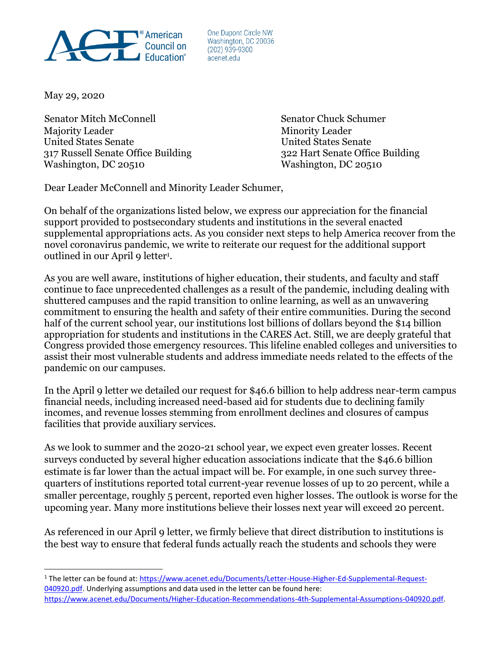

One Dupont Circle NW Washington, DC 20036  $(202)$  939-9300 acenet.edu

May 29, 2020

Senator Mitch McConnell Senator Chuck Schumer Majority Leader **Minority Leader** Minority Leader United States Senate United States Senate 317 Russell Senate Office Building 322 Hart Senate Office Building Washington, DC 20510 Washington, DC 20510

Dear Leader McConnell and Minority Leader Schumer,

On behalf of the organizations listed below, we express our appreciation for the financial support provided to postsecondary students and institutions in the several enacted supplemental appropriations acts. As you consider next steps to help America recover from the novel coronavirus pandemic, we write to reiterate our request for the additional support outlined in our April 9 letter<sup>1</sup>.

As you are well aware, institutions of higher education, their students, and faculty and staff continue to face unprecedented challenges as a result of the pandemic, including dealing with shuttered campuses and the rapid transition to online learning, as well as an unwavering commitment to ensuring the health and safety of their entire communities. During the second half of the current school year, our institutions lost billions of dollars beyond the \$14 billion appropriation for students and institutions in the CARES Act. Still, we are deeply grateful that Congress provided those emergency resources. This lifeline enabled colleges and universities to assist their most vulnerable students and address immediate needs related to the effects of the pandemic on our campuses.

In the April 9 letter we detailed our request for \$46.6 billion to help address near-term campus financial needs, including increased need-based aid for students due to declining family incomes, and revenue losses stemming from enrollment declines and closures of campus facilities that provide auxiliary services.

As we look to summer and the 2020-21 school year, we expect even greater losses. Recent surveys conducted by several higher education associations indicate that the \$46.6 billion estimate is far lower than the actual impact will be. For example, in one such survey threequarters of institutions reported total current-year revenue losses of up to 20 percent, while a smaller percentage, roughly 5 percent, reported even higher losses. The outlook is worse for the upcoming year. Many more institutions believe their losses next year will exceed 20 percent.

As referenced in our April 9 letter, we firmly believe that direct distribution to institutions is the best way to ensure that federal funds actually reach the students and schools they were

<sup>1</sup> The letter can be found at: [https://www.acenet.edu/Documents/Letter-House-Higher-Ed-Supplemental-Request-](about:blank)[040920.pdf.](about:blank) Underlying assumptions and data used in the letter can be found here:

[https://www.acenet.edu/Documents/Higher-Education-Recommendations-4th-Supplemental-Assumptions-040920.pdf.](about:blank)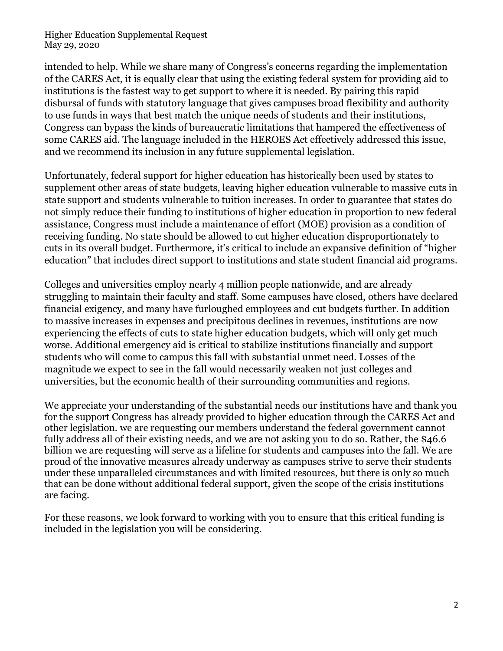Higher Education Supplemental Request May 29, 2020

intended to help. While we share many of Congress's concerns regarding the implementation of the CARES Act, it is equally clear that using the existing federal system for providing aid to institutions is the fastest way to get support to where it is needed. By pairing this rapid disbursal of funds with statutory language that gives campuses broad flexibility and authority to use funds in ways that best match the unique needs of students and their institutions, Congress can bypass the kinds of bureaucratic limitations that hampered the effectiveness of some CARES aid. The language included in the HEROES Act effectively addressed this issue, and we recommend its inclusion in any future supplemental legislation.

Unfortunately, federal support for higher education has historically been used by states to supplement other areas of state budgets, leaving higher education vulnerable to massive cuts in state support and students vulnerable to tuition increases. In order to guarantee that states do not simply reduce their funding to institutions of higher education in proportion to new federal assistance, Congress must include a maintenance of effort (MOE) provision as a condition of receiving funding. No state should be allowed to cut higher education disproportionately to cuts in its overall budget. Furthermore, it's critical to include an expansive definition of "higher education" that includes direct support to institutions and state student financial aid programs.

Colleges and universities employ nearly 4 million people nationwide, and are already struggling to maintain their faculty and staff. Some campuses have closed, others have declared financial exigency, and many have furloughed employees and cut budgets further. In addition to massive increases in expenses and precipitous declines in revenues, institutions are now experiencing the effects of cuts to state higher education budgets, which will only get much worse. Additional emergency aid is critical to stabilize institutions financially and support students who will come to campus this fall with substantial unmet need. Losses of the magnitude we expect to see in the fall would necessarily weaken not just colleges and universities, but the economic health of their surrounding communities and regions.

We appreciate your understanding of the substantial needs our institutions have and thank you for the support Congress has already provided to higher education through the CARES Act and other legislation. we are requesting our members understand the federal government cannot fully address all of their existing needs, and we are not asking you to do so. Rather, the \$46.6 billion we are requesting will serve as a lifeline for students and campuses into the fall. We are proud of the innovative measures already underway as campuses strive to serve their students under these unparalleled circumstances and with limited resources, but there is only so much that can be done without additional federal support, given the scope of the crisis institutions are facing.

For these reasons, we look forward to working with you to ensure that this critical funding is included in the legislation you will be considering.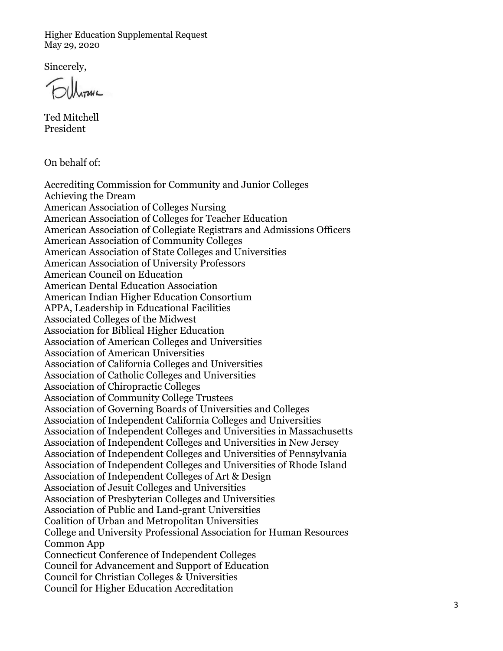Higher Education Supplemental Request May 29, 2020

Sincerely,

Ted Mitchell President

On behalf of:

Accrediting Commission for Community and Junior Colleges Achieving the Dream American Association of Colleges Nursing American Association of Colleges for Teacher Education American Association of Collegiate Registrars and Admissions Officers American Association of Community Colleges American Association of State Colleges and Universities American Association of University Professors American Council on Education American Dental Education Association American Indian Higher Education Consortium APPA, Leadership in Educational Facilities Associated Colleges of the Midwest Association for Biblical Higher Education Association of American Colleges and Universities Association of American Universities Association of California Colleges and Universities Association of Catholic Colleges and Universities Association of Chiropractic Colleges Association of Community College Trustees Association of Governing Boards of Universities and Colleges Association of Independent California Colleges and Universities Association of Independent Colleges and Universities in Massachusetts Association of Independent Colleges and Universities in New Jersey Association of Independent Colleges and Universities of Pennsylvania Association of Independent Colleges and Universities of Rhode Island Association of Independent Colleges of Art & Design Association of Jesuit Colleges and Universities Association of Presbyterian Colleges and Universities Association of Public and Land-grant Universities Coalition of Urban and Metropolitan Universities College and University Professional Association for Human Resources Common App Connecticut Conference of Independent Colleges Council for Advancement and Support of Education Council for Christian Colleges & Universities Council for Higher Education Accreditation